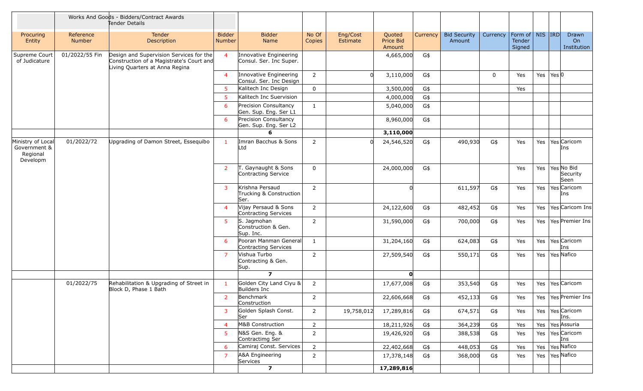|                                                           |                            | Works And Goods - Bidders/Contract Awards<br>Tender Details                                                           |                                |                                                    |                 |                      |                               |          |                               |             |                                                |                                        |
|-----------------------------------------------------------|----------------------------|-----------------------------------------------------------------------------------------------------------------------|--------------------------------|----------------------------------------------------|-----------------|----------------------|-------------------------------|----------|-------------------------------|-------------|------------------------------------------------|----------------------------------------|
| Procuring<br>Entity                                       | Reference<br><b>Number</b> | <b>Tender</b><br>Description                                                                                          | <b>Bidder</b><br><b>Number</b> | <b>Bidder</b><br>Name                              | No Of<br>Copies | Eng/Cost<br>Estimate | Quoted<br>Price Bid<br>Amount | Currency | <b>Bid Security</b><br>Amount | Currency    | Form of   NIS   IRD<br><b>Tender</b><br>Signed | Drawn<br>On<br>Institution             |
| Supreme Court<br>of Judicature                            | 01/2022/55 Fin             | Design and Supervision Services for the<br>Construction of a Magistrate's Court and<br>Living Quarters at Anna Regina | $\overline{4}$                 | Innovative Engineering<br>Consul. Ser. Inc Super.  |                 |                      | 4,665,000                     | G\$      |                               |             |                                                |                                        |
|                                                           |                            |                                                                                                                       | $\overline{4}$                 | Innovative Engineering<br>Consul. Ser. Inc Design  | $\overline{2}$  | <sup>n</sup>         | 3,110,000                     | G\$      |                               | $\mathbf 0$ | Yes                                            | Yes $\text{Yes} \mid \text{Yes}$       |
|                                                           |                            |                                                                                                                       | -5                             | Kalitech Inc Design                                | $\mathbf 0$     |                      | 3,500,000                     | G\$      |                               |             | Yes                                            |                                        |
|                                                           |                            |                                                                                                                       | 5                              | Kalitech Inc Suervision                            |                 |                      | 4,000,000                     | G\$      |                               |             |                                                |                                        |
|                                                           |                            |                                                                                                                       | 6                              | Precision Consultancy<br>Gen. Sup. Eng. Ser L1     | $\mathbf{1}$    |                      | 5,040,000                     | G\$      |                               |             |                                                |                                        |
|                                                           |                            |                                                                                                                       | 6                              | Precision Consultancy<br>Gen. Sup. Eng. Ser L2     |                 |                      | 8,960,000                     | G\$      |                               |             |                                                |                                        |
|                                                           |                            |                                                                                                                       |                                | 6                                                  |                 |                      | 3,110,000                     |          |                               |             |                                                |                                        |
| Ministry of Local<br>Government &<br>Regional<br>Developm | 01/2022/72                 | Upgrading of Damon Street, Essequibo                                                                                  | $\mathbf{1}$                   | Imran Bacchus & Sons<br>Ltd                        | $\overline{2}$  |                      | 24,546,520                    | G\$      | 490,930                       | G\$         | Yes                                            | Yes   Yes   Caricom<br>Ins             |
|                                                           |                            |                                                                                                                       | <sup>2</sup>                   | T. Gaynaught & Sons<br>Contracting Service         | $\mathbf 0$     |                      | 24,000,000                    | G\$      |                               |             | Yes                                            | Yes   Yes   No Bid<br>Security<br>Seen |
|                                                           |                            |                                                                                                                       | 3                              | Krishna Persaud<br>Trucking & Construction<br>Ser. | $\overline{2}$  |                      |                               |          | 611,597                       | G\$         | Yes                                            | Yes   Yes   Caricom<br>Ins             |
|                                                           |                            |                                                                                                                       | $\overline{4}$                 | Vijay Persaud & Sons<br>Contracting Services       | $\overline{2}$  |                      | 24,122,600                    | G\$      | 482,452                       | G\$         | Yes                                            | Yes   Yes   Caricom Ins                |
|                                                           |                            |                                                                                                                       | 5                              | S. Jagmohan<br>Construction & Gen.<br>Sup. Inc.    | $\overline{2}$  |                      | 31,590,000                    | G\$      | 700,000                       | G\$         | Yes                                            | Yes   Yes   Premier Ins                |
|                                                           |                            |                                                                                                                       | 6                              | Pooran Manman General<br>Contracting Services      | $\mathbf{1}$    |                      | 31,204,160                    | G\$      | 624,083                       | G\$         | Yes                                            | Yes   Yes   Caricom<br>Ins             |
|                                                           |                            |                                                                                                                       | $\overline{7}$                 | Vishua Turbo<br>Contracting & Gen.<br>Sup.         | $\overline{2}$  |                      | 27,509,540                    | G\$      | 550,171                       | G\$         | Yes                                            | Yes   Yes   Nafico                     |
|                                                           |                            |                                                                                                                       |                                | $\overline{ }$                                     |                 |                      | $\mathbf{0}$                  |          |                               |             |                                                |                                        |
|                                                           | 01/2022/75                 | Rehabilitation & Upgrading of Street in<br>Block D, Phase 1 Bath                                                      | $\mathbf{1}$                   | Golden City Land Ciyu &<br>Builders Inc            | $\overline{2}$  |                      | 17,677,008                    | G\$      | 353,540                       | G\$         | Yes                                            | Yes   Yes   Caricom                    |
|                                                           |                            |                                                                                                                       | 2 <sup>7</sup>                 | Benchmark<br>Construction                          | $\overline{2}$  |                      | 22,606,668                    | G\$      | 452,133                       | G\$         | Yes                                            | Yes   Yes   Premier Ins                |
|                                                           |                            |                                                                                                                       | 3                              | Golden Splash Const.<br>Ser                        | $\overline{2}$  | 19,758,012           | 17,289,816                    | G\$      | 674,571                       | G\$         | Yes                                            | Yes   Yes   Caricom<br>Ins.            |
|                                                           |                            |                                                                                                                       | $\overline{4}$                 | M&B Construction                                   | $\overline{2}$  |                      | 18,211,926                    | G\$      | 364,239                       | G\$         | Yes                                            | Yes Yes Assuria                        |
|                                                           |                            |                                                                                                                       | 5                              | N&S Gen. Eng. &<br>Contractimg Ser                 | $2^{\circ}$     |                      | 19,426,920                    | G\$      | 388,538                       | G\$         | Yes                                            | Yes   Yes   Caricom<br>Ins             |
|                                                           |                            |                                                                                                                       | 6                              | Camiraj Const. Services                            | $2^{\circ}$     |                      | 22,402,668                    | G\$      | 448,053                       | G\$         | Yes                                            | Yes   Yes Nafico                       |
|                                                           |                            |                                                                                                                       | 7                              | A&A Engineering<br>Services                        | $\overline{2}$  |                      | 17,378,148                    | G\$      | 368,000                       | G\$         | Yes                                            | Yes   Yes Nafico                       |
|                                                           |                            |                                                                                                                       |                                | $\overline{z}$                                     |                 |                      | 17,289,816                    |          |                               |             |                                                |                                        |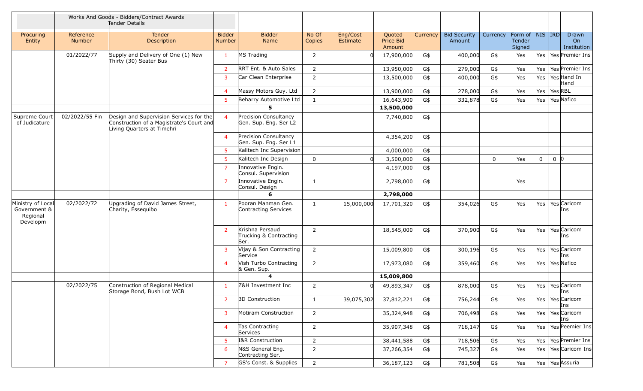|                                                           |                            | Works And Goods - Bidders/Contract Awards<br>Tender Details                                                       |                                |                                                   |                 |                      |                               |          |                               |             |                                                |             |                 |                            |
|-----------------------------------------------------------|----------------------------|-------------------------------------------------------------------------------------------------------------------|--------------------------------|---------------------------------------------------|-----------------|----------------------|-------------------------------|----------|-------------------------------|-------------|------------------------------------------------|-------------|-----------------|----------------------------|
| Procuring<br>Entity                                       | Reference<br><b>Number</b> | Tender<br>Description                                                                                             | <b>Bidder</b><br><b>Number</b> | <b>Bidder</b><br>Name                             | No Of<br>Copies | Eng/Cost<br>Estimate | Quoted<br>Price Bid<br>Amount | Currency | <b>Bid Security</b><br>Amount | Currency    | Form of   NIS   IRD<br><b>Tender</b><br>Signed |             |                 | Drawn<br>On<br>Institution |
|                                                           | 01/2022/77                 | Supply and Delivery of One (1) New<br>Thirty (30) Seater Bus                                                      | -1                             | MS Trading                                        | $\overline{2}$  |                      | 17,900,000                    | G\$      | 400,000                       | G\$         | Yes                                            |             |                 | Yes   Yes   Premier Ins    |
|                                                           |                            |                                                                                                                   | $\overline{2}$                 | RRT Ent. & Auto Sales                             | $\overline{2}$  |                      | 13,950,000                    | G\$      | 279,000                       | G\$         | Yes                                            |             |                 | Yes   Yes   Premier Ins    |
|                                                           |                            |                                                                                                                   | 3                              | Car Clean Enterprise                              | $\overline{2}$  |                      | 13,500,000                    | G\$      | 400,000                       | G\$         | Yes                                            |             |                 | Yes   Yes Hand In<br>Hand  |
|                                                           |                            |                                                                                                                   | $\overline{4}$                 | Massy Motors Guy. Ltd                             | $\overline{2}$  |                      | 13,900,000                    | G\$      | 278,000                       | G\$         | Yes                                            |             | Yes   Yes   RBL |                            |
|                                                           |                            |                                                                                                                   | 5 <sup>5</sup>                 | Beharry Automotive Ltd                            | $\mathbf{1}$    |                      | 16,643,900                    | G\$      | 332,878                       | G\$         | Yes                                            |             |                 | Yes   Yes   Nafico         |
|                                                           |                            |                                                                                                                   |                                | 5                                                 |                 |                      | 13,500,000                    |          |                               |             |                                                |             |                 |                            |
| Supreme Court<br>of Judicature                            | 02/2022/55 Fin             | Design and Supervision Services for the<br>Construction of a Magistrate's Court and<br>Living Quarters at Timehri | $\overline{4}$                 | Precision Consultancy<br>Gen. Sup. Eng. Ser L2    |                 |                      | 7,740,800                     | G\$      |                               |             |                                                |             |                 |                            |
|                                                           |                            |                                                                                                                   | $\overline{4}$                 | Precision Consultancy<br>Gen. Sup. Eng. Ser L1    |                 |                      | 4,354,200                     | G\$      |                               |             |                                                |             |                 |                            |
|                                                           |                            |                                                                                                                   | -5                             | Kalitech Inc Supervision                          |                 |                      | 4,000,000                     | G\$      |                               |             |                                                |             |                 |                            |
|                                                           |                            |                                                                                                                   | -5                             | Kalitech Inc Design                               | $\mathbf 0$     | $\Omega$             | 3,500,000                     | G\$      |                               | $\mathbf 0$ | Yes                                            | $\mathbf 0$ | 0 <sup>0</sup>  |                            |
|                                                           |                            |                                                                                                                   | 7                              | Innovative Engin.<br>Consul. Supervision          |                 |                      | 4,197,000                     | G\$      |                               |             |                                                |             |                 |                            |
|                                                           |                            |                                                                                                                   | $\overline{7}$                 | Innovative Engin.<br>Consul. Design               | $\mathbf{1}$    |                      | 2,798,000                     | G\$      |                               |             | Yes                                            |             |                 |                            |
|                                                           |                            |                                                                                                                   |                                | 6                                                 |                 |                      | 2,798,000                     |          |                               |             |                                                |             |                 |                            |
| Ministry of Local<br>Government &<br>Regional<br>Developm | 02/2022/72                 | Upgrading of David James Street,<br>Charity, Essequibo                                                            | 1                              | Pooran Manman Gen.<br>Contracting Services        | $\mathbf{1}$    | 15,000,000           | 17,701,320                    | G\$      | 354,026                       | G\$         | Yes                                            |             |                 | Yes   Yes   Caricom<br>Ins |
|                                                           |                            |                                                                                                                   | <sup>2</sup>                   | Krishna Persaud<br>Trucking & Contracting<br>Ser. | $\overline{2}$  |                      | 18,545,000                    | G\$      | 370,900                       | G\$         | Yes                                            |             |                 | Yes   Yes   Caricom<br>Ins |
|                                                           |                            |                                                                                                                   | 3                              | Vijay & Son Contracting<br>Service                | $2^{\circ}$     |                      | 15,009,800                    | G\$      | 300,196                       | G\$         | Yes                                            |             |                 | Yes   Yes   Caricom<br>Ins |
|                                                           |                            |                                                                                                                   | $\overline{4}$                 | Vish Turbo Contracting<br>& Gen. Sup.             | $\overline{2}$  |                      | 17,973,080                    | G\$      | 359,460                       | G\$         | Yes                                            |             |                 | Yes Yes Nafico             |
|                                                           |                            |                                                                                                                   |                                | $\boldsymbol{4}$                                  |                 |                      | 15,009,800                    |          |                               |             |                                                |             |                 |                            |
|                                                           | 02/2022/75                 | Construction of Regional Medical<br>Storage Bond, Bush Lot WCB                                                    | $\mathbf{1}$                   | Z&H Investment Inc                                | $\overline{2}$  |                      | 49,893,347                    | G\$      | 878,000                       | G\$         | Yes                                            |             |                 | Yes   Yes Caricom<br>Ins   |
|                                                           |                            |                                                                                                                   | 2                              | 3D Construction                                   | $\mathbf{1}$    | 39,075,302           | 37,812,221                    | G\$      | 756,244                       | G\$         | Yes                                            |             |                 | Yes   Yes   Caricom<br>Ins |
|                                                           |                            |                                                                                                                   | 3                              | Motiram Construction                              | $2^{\circ}$     |                      | 35,324,948                    | G\$      | 706,498                       | $G$ \$      | Yes                                            |             |                 | Yes   Yes   Caricom<br>Ins |
|                                                           |                            |                                                                                                                   | $\overline{4}$                 | Tas Contracting<br>Services                       | $\overline{2}$  |                      | 35,907,348                    | G\$      | 718,147                       | G\$         | Yes                                            |             |                 | Yes   Yes   Peemier Ins    |
|                                                           |                            |                                                                                                                   | $5^{\circ}$                    | I&R Construction                                  | $\overline{2}$  |                      | 38,441,588                    | G\$      | 718,506                       | G\$         | Yes                                            |             |                 | Yes   Yes   Premier Ins    |
|                                                           |                            |                                                                                                                   | 6                              | N&S General Eng.<br>Contracting Ser.              | $2^{\circ}$     |                      | 37,266,354                    | G\$      | 745,327                       | G\$         | Yes                                            |             |                 | Yes   Yes   Caricom Ins    |
|                                                           |                            |                                                                                                                   | 7                              | GS's Const. & Supplies                            | $\overline{2}$  |                      | 36,187,123                    | G\$      | 781,508                       | G\$         | Yes                                            |             |                 | Yes Yes Assuria            |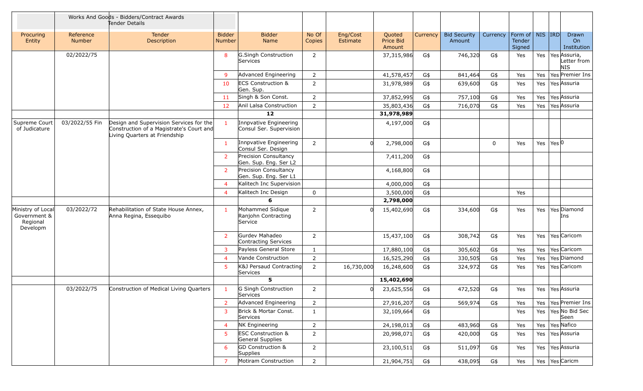|                                                           |                            | Works And Goods - Bidders/Contract Awards<br>Tender Details                                                          |                                |                                                    |                 |                      |                               |          |                               |             |                                                |     |       |                                                 |
|-----------------------------------------------------------|----------------------------|----------------------------------------------------------------------------------------------------------------------|--------------------------------|----------------------------------------------------|-----------------|----------------------|-------------------------------|----------|-------------------------------|-------------|------------------------------------------------|-----|-------|-------------------------------------------------|
| Procuring<br>Entity                                       | Reference<br><b>Number</b> | <b>Tender</b><br>Description                                                                                         | <b>Bidder</b><br><b>Number</b> | <b>Bidder</b><br>Name                              | No Of<br>Copies | Eng/Cost<br>Estimate | Quoted<br>Price Bid<br>Amount | Currency | <b>Bid Security</b><br>Amount | Currency    | Form of   NIS   IRD<br><b>Tender</b><br>Signed |     |       | Drawn<br>On<br>Institution                      |
|                                                           | 02/2022/75                 |                                                                                                                      | 8                              | G.Singh Construction<br>Services                   | $\overline{2}$  |                      | 37,315,986                    | G\$      | 746,320                       | G\$         | Yes                                            |     |       | Yes   Yes Assuria,<br>Letter from<br><b>NIS</b> |
|                                                           |                            |                                                                                                                      | -9                             | Advanced Engineering                               | $\overline{2}$  |                      | 41,578,457                    | G\$      | 841,464                       | G\$         | Yes                                            |     |       | Yes   Yes   Premier Ins                         |
|                                                           |                            |                                                                                                                      | 10                             | <b>ECS Construction &amp;</b><br>Gen. Sup.         | $\overline{2}$  |                      | 31,978,989                    | G\$      | 639,600                       | G\$         | Yes                                            |     |       | Yes   Yes   Assuria                             |
|                                                           |                            |                                                                                                                      | 11                             | Singh & Son Const.                                 | $\overline{2}$  |                      | 37,852,995                    | G\$      | 757,100                       | G\$         | Yes                                            | Yes |       | Yes Assuria                                     |
|                                                           |                            |                                                                                                                      | 12                             | Anil Lalsa Construction                            | $\overline{2}$  |                      | 35,803,436                    | G\$      | 716,070                       | G\$         | Yes                                            |     |       | Yes   Yes   Assuria                             |
|                                                           |                            |                                                                                                                      |                                | 12                                                 |                 |                      | 31,978,989                    |          |                               |             |                                                |     |       |                                                 |
| Supreme Court<br>of Judicature                            | 03/2022/55 Fin             | Design and Supervision Services for the<br>Construction of a Magistrate's Court and<br>Living Quarters at Friendship |                                | Innpvative Engineering<br>Consul Ser. Supervision  |                 |                      | 4,197,000                     | G\$      |                               |             |                                                |     |       |                                                 |
|                                                           |                            |                                                                                                                      | $\mathbf{1}$                   | Innpvative Engineering<br>Consul Ser. Design       | $\overline{2}$  | <sub>0</sub>         | 2,798,000                     | G\$      |                               | $\mathbf 0$ | Yes                                            | Yes | Yes 0 |                                                 |
|                                                           |                            |                                                                                                                      | 2                              | Precision Consultancy<br>Gen. Sup. Eng. Ser L2     |                 |                      | 7,411,200                     | G\$      |                               |             |                                                |     |       |                                                 |
|                                                           |                            |                                                                                                                      | <sup>2</sup>                   | Precision Consultancy<br>Gen. Sup. Eng. Ser L1     |                 |                      | 4,168,800                     | G\$      |                               |             |                                                |     |       |                                                 |
|                                                           |                            |                                                                                                                      | $\overline{4}$                 | Kalitech Inc Supervision                           |                 |                      | 4,000,000                     | G\$      |                               |             |                                                |     |       |                                                 |
|                                                           |                            |                                                                                                                      | $\overline{4}$                 | Kalitech Inc Design                                | $\mathbf 0$     |                      | 3,500,000                     | G\$      |                               |             | Yes                                            |     |       |                                                 |
|                                                           |                            |                                                                                                                      |                                | 6                                                  |                 |                      | 2,798,000                     |          |                               |             |                                                |     |       |                                                 |
| Ministry of Local<br>Government &<br>Regional<br>Developm | 03/2022/72                 | Rehabilitation of State House Annex,<br>Anna Regina, Essequibo                                                       | $\mathbf{1}$                   | Mohammed Sidique<br>Ranjohn Contracting<br>Service | $\overline{2}$  | U                    | 15,402,690                    | G\$      | 334,600                       | G\$         | Yes                                            |     |       | Yes   Yes   Diamond<br>Ins                      |
|                                                           |                            |                                                                                                                      | $\overline{2}$                 | Gurdev Mahadeo<br>Contracting Services             | $\overline{2}$  |                      | 15,437,100                    | G\$      | 308,742                       | G\$         | Yes                                            |     |       | Yes   Yes   Caricom                             |
|                                                           |                            |                                                                                                                      | 3                              | Payless General Store                              | $\mathbf{1}$    |                      | 17,880,100                    | G\$      | 305,602                       | G\$         | Yes                                            |     |       | Yes   Yes Caricom                               |
|                                                           |                            |                                                                                                                      | $\overline{4}$                 | Vande Construction                                 | $\overline{2}$  |                      | 16,525,290                    | G\$      | 330,505                       | G\$         | Yes                                            | Yes |       | Yes Diamond                                     |
|                                                           |                            |                                                                                                                      | 5                              | K&J Persaud Contracting<br>Services                | $\overline{2}$  | 16,730,000           | 16,248,600                    | G\$      | 324,972                       | G\$         | Yes                                            |     |       | Yes   Yes   Caricom                             |
|                                                           |                            |                                                                                                                      |                                | 5                                                  |                 |                      | 15,402,690                    |          |                               |             |                                                |     |       |                                                 |
|                                                           | 03/2022/75                 | Construction of Medical Living Quarters                                                                              | $\mathbf{1}$                   | G Singh Construction<br>Services                   | $\overline{2}$  | U                    | 23,625,556                    | G\$      | 472,520                       | G\$         | Yes                                            |     |       | Yes   Yes Assuria                               |
|                                                           |                            |                                                                                                                      | 2                              | Advanced Engineering                               | $\overline{2}$  |                      | 27,916,207                    | G\$      | 569,974                       | G\$         | Yes                                            |     |       | Yes   Yes   Premier Ins                         |
|                                                           |                            |                                                                                                                      | 3                              | Brick & Mortar Const.<br>Services                  | $\mathbf{1}$    |                      | 32,109,664                    | G\$      |                               |             | Yes                                            |     |       | Yes   Yes   No Bid Sec<br>Seen                  |
|                                                           |                            |                                                                                                                      | $\overline{4}$                 | NK Engineering                                     | $\overline{2}$  |                      | 24,198,013                    | G\$      | 483,960                       | G\$         | Yes                                            |     |       | Yes   Yes   Nafico                              |
|                                                           |                            |                                                                                                                      | 5                              | <b>ESC Construction &amp;</b><br>General Supplies  | $2^{\circ}$     |                      | 20,998,071                    | G\$      | 420,000                       | G\$         | Yes                                            |     |       | Yes Yes Assuria                                 |
|                                                           |                            |                                                                                                                      | 6                              | GD Construction &<br>Supplies                      | $\overline{2}$  |                      | 23,100,511                    | G\$      | 511,097                       | G\$         | Yes                                            |     |       | Yes Yes Assuria                                 |
|                                                           |                            |                                                                                                                      | $\overline{7}$                 | Motiram Construction                               | $2^{\circ}$     |                      | 21,904,751                    | G\$      | 438,095                       | G\$         | Yes                                            |     |       | Yes   Yes   Caricm                              |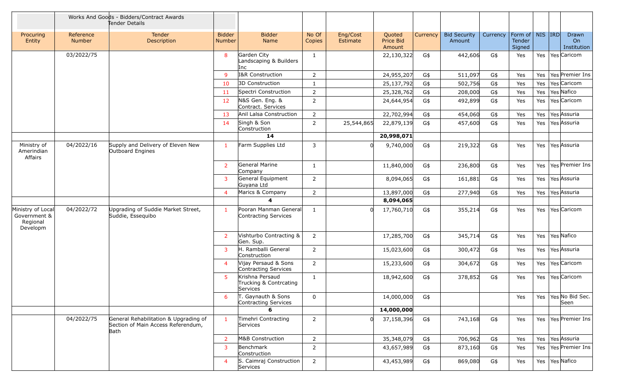|                                                           | Works And Goods - Bidders/Contract Awards<br>Tender Details |                                                                                     |                                |                                                       |                 |                      |                               |          |                               |          |                                                             |  |                                       |
|-----------------------------------------------------------|-------------------------------------------------------------|-------------------------------------------------------------------------------------|--------------------------------|-------------------------------------------------------|-----------------|----------------------|-------------------------------|----------|-------------------------------|----------|-------------------------------------------------------------|--|---------------------------------------|
| Procuring<br>Entity                                       | Reference<br><b>Number</b>                                  | Tender<br>Description                                                               | <b>Bidder</b><br><b>Number</b> | <b>Bidder</b><br>Name                                 | No Of<br>Copies | Eng/Cost<br>Estimate | Quoted<br>Price Bid<br>Amount | Currency | <b>Bid Security</b><br>Amount | Currency | Form of $\vert$ NIS $\vert$ IRD $\vert$<br>Tender<br>Signed |  | Drawn<br>On<br>Institution            |
|                                                           | 03/2022/75                                                  |                                                                                     | 8                              | Garden City<br>Landscaping & Builders<br>Inc          | $\mathbf{1}$    |                      | 22,130,322                    | G\$      | 442,606                       | G\$      | Yes                                                         |  | Yes   Yes   Caricom                   |
|                                                           |                                                             |                                                                                     | 9                              | I&R Construction                                      | $\overline{2}$  |                      | 24,955,207                    | G\$      | 511,097                       | G\$      | Yes                                                         |  | Yes   Yes   Premier Ins               |
|                                                           |                                                             |                                                                                     | 10                             | 3D Construction                                       | $\mathbf{1}$    |                      | 25,137,792                    | G\$      | 502,756                       | G\$      | Yes                                                         |  | Yes   Yes Caricom                     |
|                                                           |                                                             |                                                                                     | 11                             | Spectri Construction                                  | $\overline{2}$  |                      | 25,328,762                    | G\$      | 208,000                       | G\$      | Yes                                                         |  | Yes   Yes Nafico                      |
|                                                           |                                                             |                                                                                     | 12                             | N&S Gen. Eng. &<br>Contract. Services                 | 2               |                      | 24,644,954                    | G\$      | 492,899                       | G\$      | Yes                                                         |  | Yes   Yes   Caricom                   |
|                                                           |                                                             |                                                                                     | 13                             | Anil Lalsa Construction                               | $\overline{2}$  |                      | 22,702,994                    | G\$      | 454,060                       | G\$      | Yes                                                         |  | Yes   Yes Assuria                     |
|                                                           |                                                             |                                                                                     | 14                             | Singh & Son<br>Construction                           | $\overline{2}$  | 25,544,865           | 22,879,139                    | G\$      | 457,600                       | G\$      | Yes                                                         |  | Yes   Yes Assuria                     |
|                                                           |                                                             |                                                                                     |                                | 14                                                    |                 |                      | 20,998,071                    |          |                               |          |                                                             |  |                                       |
| Ministry of<br>Amerindian<br>Affairs                      | 04/2022/16                                                  | Supply and Delivery of Eleven New<br>Outboard Engines                               | -1                             | Farm Supplies Ltd                                     | 3               |                      | 9,740,000                     | G\$      | 219,322                       | G\$      | Yes                                                         |  | Yes   Yes Assuria                     |
|                                                           |                                                             |                                                                                     | 2                              | General Marine<br>Company                             | 1               |                      | 11,840,000                    | G\$      | 236,800                       | G\$      | Yes                                                         |  | Yes   Yes   Premier Ins               |
|                                                           |                                                             |                                                                                     | 3                              | General Equipment<br>Guyana Ltd                       | $\overline{2}$  |                      | 8,094,065                     | G\$      | 161,881                       | G\$      | Yes                                                         |  | Yes   Yes Assuria                     |
|                                                           |                                                             |                                                                                     | $\overline{4}$                 | Marics & Company                                      | $\overline{2}$  |                      | 13,897,000                    | G\$      | 277,940                       | G\$      | Yes                                                         |  | Yes   Yes Assuria                     |
|                                                           |                                                             |                                                                                     |                                | 4                                                     |                 |                      | 8,094,065                     |          |                               |          |                                                             |  |                                       |
| Ministry of Local<br>Government &<br>Regional<br>Developm | 04/2022/72                                                  | Upgrading of Suddie Market Street,<br>Suddie, Essequibo                             | -1                             | Pooran Manman General<br>Contracting Services         | $\mathbf{1}$    |                      | 17,760,710                    | G\$      | 355,214                       | G\$      | Yes                                                         |  | Yes   Yes   Caricom                   |
|                                                           |                                                             |                                                                                     | 2                              | Vishturbo Contracting &<br>Gen. Sup.                  | $\overline{2}$  |                      | 17,285,700                    | G\$      | 345,714                       | G\$      | Yes                                                         |  | Yes   Yes   Nafico                    |
|                                                           |                                                             |                                                                                     | 3                              | H. Ramballi General<br>Construction                   | $\overline{2}$  |                      | 15,023,600                    | G\$      | 300,472                       | G\$      | Yes                                                         |  | Yes   Yes Assuria                     |
|                                                           |                                                             |                                                                                     | $\overline{a}$                 | Vijay Persaud & Sons<br>Contracting Services          | $\overline{2}$  |                      | 15,233,600                    | G\$      | 304,672                       | G\$      | Yes                                                         |  | Yes   Yes   Caricom                   |
|                                                           |                                                             |                                                                                     | 5                              | Krishna Persaud<br>Trucking & Contrcating<br>Services | $\mathbf{1}$    |                      | 18,942,600                    | G\$      | 378,852                       | G\$      | Yes                                                         |  | Yes   Yes   Caricom                   |
|                                                           |                                                             |                                                                                     | 6                              | T. Gaynauth & Sons<br>Contracting Services            | $\mathbf 0$     |                      | 14,000,000                    | G\$      |                               |          |                                                             |  | Yes   Yes   Yes   No Bid Sec.<br>Seen |
|                                                           |                                                             |                                                                                     |                                | 6                                                     |                 |                      | 14,000,000                    |          |                               |          |                                                             |  |                                       |
|                                                           | 04/2022/75                                                  | General Rehabilitation & Upgrading of<br>Section of Main Access Referendum,<br>Bath | $\mathbf{1}$                   | Timehri Contracting<br>Services                       | $\overline{2}$  | 0l                   | 37,158,396                    | G\$      | 743,168                       | G\$      | Yes                                                         |  | Yes   Yes   Premier Ins               |
|                                                           |                                                             |                                                                                     | $\overline{2}$                 | M&B Construction                                      | $2^{\circ}$     |                      | 35,348,079                    | G\$      | 706,962                       | G\$      | Yes                                                         |  | Yes   Yes   Assuria                   |
|                                                           |                                                             |                                                                                     | 3                              | Benchmark<br>Construction                             | $\overline{2}$  |                      | 43,657,989                    | G\$      | 873,160                       | G\$      | Yes                                                         |  | Yes   Yes   Premier Ins               |
|                                                           |                                                             |                                                                                     | 4                              | S. Caimraj Construction<br>Services                   | $\overline{2}$  |                      | 43,453,989                    | G\$      | 869,080                       | G\$      | Yes                                                         |  | Yes   Yes   Nafico                    |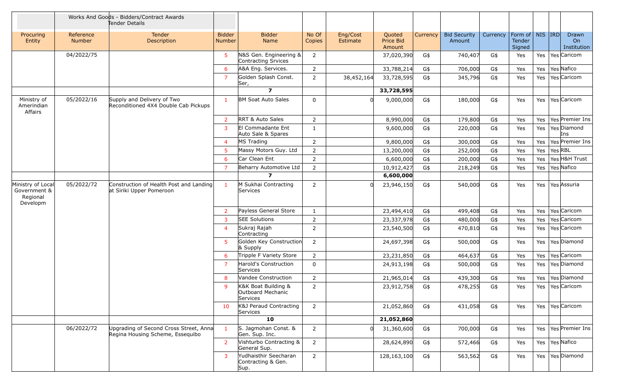|                                                           |                     | Works And Goods - Bidders/Contract Awards<br>Tender Details                |                         |                                                      |                 |                      |                               |          |                               |          |                                                                    |                 |                                   |
|-----------------------------------------------------------|---------------------|----------------------------------------------------------------------------|-------------------------|------------------------------------------------------|-----------------|----------------------|-------------------------------|----------|-------------------------------|----------|--------------------------------------------------------------------|-----------------|-----------------------------------|
| Procuring<br>Entity                                       | Reference<br>Number | <b>Tender</b><br>Description                                               | <b>Bidder</b><br>Number | <b>Bidder</b><br>Name                                | No Of<br>Copies | Eng/Cost<br>Estimate | Quoted<br>Price Bid<br>Amount | Currency | <b>Bid Security</b><br>Amount | Currency | Form of $\vert$ NIS $\vert$ IRD $\vert$<br><b>Tender</b><br>Signed |                 | Drawn<br><b>On</b><br>Institution |
|                                                           | 04/2022/75          |                                                                            | 5                       | N&S Gen. Engineering &<br>Contracting Srvices        | $\overline{2}$  |                      | 37,020,390                    | G\$      | 740,407                       | G\$      | Yes                                                                |                 | Yes   Yes   Caricom               |
|                                                           |                     |                                                                            | 6                       | A&A Eng. Services.                                   | $\overline{2}$  |                      | 33,788,214                    | G\$      | 706,000                       | G\$      | Yes                                                                |                 | Yes   Yes Nafico                  |
|                                                           |                     |                                                                            | $\overline{7}$          | Golden Splash Const.<br>Ser,                         | $\overline{2}$  | 38,452,164           | 33,728,595                    | G\$      | 345,796                       | G\$      | Yes                                                                |                 | Yes   Yes   Caricom               |
|                                                           |                     |                                                                            |                         | $\overline{z}$                                       |                 |                      | 33,728,595                    |          |                               |          |                                                                    |                 |                                   |
| Ministry of<br>Amerindian<br>Affairs                      | 05/2022/16          | Supply and Delivery of Two<br>Reconditioned 4X4 Double Cab Pickups         | $\mathbf{1}$            | <b>BM Soat Auto Sales</b>                            | $\Omega$        | 0                    | 9,000,000                     | G\$      | 180,000                       | G\$      | Yes                                                                |                 | Yes   Yes   Caricom               |
|                                                           |                     |                                                                            | $\overline{2}$          | <b>RRT &amp; Auto Sales</b>                          | $\overline{2}$  |                      | 8,990,000                     | G\$      | 179,800                       | G\$      | Yes                                                                |                 | Yes   Yes   Premier Ins           |
|                                                           |                     |                                                                            | 3                       | <b>El Commadante Ent</b><br>Auto Sale & Spares       | $\mathbf{1}$    |                      | 9,600,000                     | G\$      | 220,000                       | G\$      | Yes                                                                |                 | Yes   Yes   Diamond<br>Ins        |
|                                                           |                     |                                                                            | $\overline{4}$          | MS Trading                                           | $\overline{2}$  |                      | 9,800,000                     | G\$      | 300,000                       | G\$      | Yes                                                                |                 | Yes   Yes   Premier Ins           |
|                                                           |                     |                                                                            | 5                       | Massy Motors Guy. Ltd                                | $\overline{2}$  |                      | 13,200,000                    | G\$      | 252,000                       | G\$      | Yes                                                                | Yes   Yes   RBL |                                   |
|                                                           |                     |                                                                            | 6                       | Car Clean Ent                                        | $\overline{2}$  |                      | 6,600,000                     | G\$      | 200,000                       | G\$      | Yes                                                                |                 | Yes   Yes H&H Trust               |
|                                                           |                     |                                                                            | 7                       | Beharry Automotive Ltd                               | $\overline{2}$  |                      | 10,912,427                    | G\$      | 218,249                       | G\$      | Yes                                                                |                 | Yes   Yes Nafico                  |
|                                                           |                     |                                                                            |                         | $\overline{ }$                                       |                 |                      | 6,600,000                     |          |                               |          |                                                                    |                 |                                   |
| Ministry of Local<br>Government &<br>Regional<br>Developm | 05/2022/72          | Construction of Health Post and Landing<br>at Siriki Upper Pomeroon        | -1                      | M Sukhai Contracting<br>Services                     | $\overline{2}$  | <sup>n</sup>         | 23,946,150                    | G\$      | 540,000                       | G\$      | Yes                                                                |                 | Yes   Yes Assuria                 |
|                                                           |                     |                                                                            | $\overline{2}$          | Payless General Store                                | $\mathbf{1}$    |                      | 23,494,410                    | G\$      | 499,408                       | G\$      | Yes                                                                |                 | Yes   Yes Caricom                 |
|                                                           |                     |                                                                            | 3                       | <b>SEE Solutions</b>                                 | $\overline{2}$  |                      | 23,337,978                    | G\$      | 480,000                       | G\$      | Yes                                                                |                 | Yes   Yes Caricom                 |
|                                                           |                     |                                                                            | $\overline{4}$          | Sukraj Rajah<br>Contracting                          | $\overline{2}$  |                      | 23,540,500                    | G\$      | 470,810                       | G\$      | Yes                                                                |                 | Yes   Yes   Caricom               |
|                                                           |                     |                                                                            | 5                       | Golden Key Construction<br>& Supply                  | $\overline{2}$  |                      | 24,697,398                    | G\$      | 500,000                       | G\$      | Yes                                                                |                 | Yes   Yes   Diamond               |
|                                                           |                     |                                                                            | 6                       | Tripple F Variety Store                              | $\overline{2}$  |                      | 23,231,850                    | G\$      | 464,637                       | G\$      | Yes                                                                |                 | Yes   Yes Caricom                 |
|                                                           |                     |                                                                            | $\overline{7}$          | Harold's Construction<br>Services                    | $\mathbf 0$     |                      | 24,913,198                    | G\$      | 500,000                       | G\$      | Yes                                                                |                 | Yes   Yes   Diamond               |
|                                                           |                     |                                                                            | 8                       | Vandee Construction                                  | $\overline{2}$  |                      | 21,965,014                    | G\$      | 439,300                       | G\$      | Yes                                                                |                 | Yes   Yes   Diamond               |
|                                                           |                     |                                                                            | 9                       | K&K Boat Building &<br>Outboard Mechanic<br>Services | $\overline{2}$  |                      | 23,912,758                    | G\$      | 478,255                       | G\$      | Yes                                                                |                 | Yes   Yes   Caricom               |
|                                                           |                     |                                                                            | 10                      | K&J Peraud Contracting<br>Services                   | $\overline{2}$  |                      | 21,052,860                    | G\$      | 431,058                       | G\$      | Yes                                                                |                 | Yes   Yes   Caricom               |
|                                                           |                     |                                                                            |                         | 10                                                   |                 |                      | 21,052,860                    |          |                               |          |                                                                    |                 |                                   |
|                                                           | 06/2022/72          | Upgrading of Second Cross Street, Anna<br>Regina Housing Scheme, Essequibo | -1                      | S. Jagmohan Const. &<br>Gen. Sup. Inc.               | $2^{\circ}$     | $\Omega$             | 31,360,600                    | G\$      | 700,000                       | G\$      | Yes                                                                |                 | Yes   Yes   Premier Ins           |
|                                                           |                     |                                                                            | 2                       | Vishturbo Contracting &<br>General Sup.              | $\overline{2}$  |                      | 28,624,890                    | G\$      | 572,466                       | G\$      | Yes                                                                |                 | Yes   Yes Nafico                  |
|                                                           |                     |                                                                            | 3                       | Yudhaisthir Seecharan<br>Contracting & Gen.<br>Sup.  | $2^{\circ}$     |                      | 128,163,100                   | G\$      | 563,562                       | G\$      | Yes                                                                |                 | Yes   Yes   Diamond               |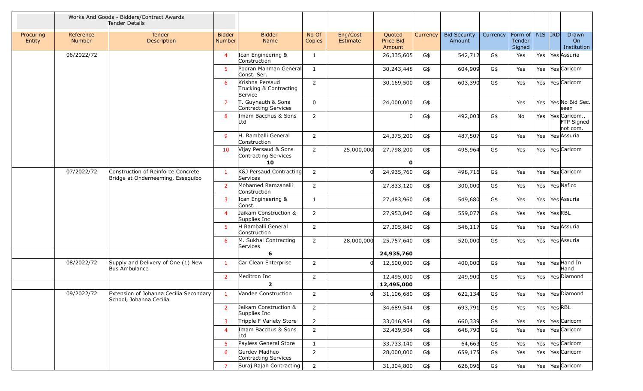|                     | Works And Goods - Bidders/Contract Awards<br>Tender Details                           |                                                                   |                                |                                                      |                 |                      |                               |          |                               |          |                                         |                 |                                                 |
|---------------------|---------------------------------------------------------------------------------------|-------------------------------------------------------------------|--------------------------------|------------------------------------------------------|-----------------|----------------------|-------------------------------|----------|-------------------------------|----------|-----------------------------------------|-----------------|-------------------------------------------------|
| Procuring<br>Entity | Reference<br><b>Number</b>                                                            | <b>Tender</b><br>Description                                      | <b>Bidder</b><br><b>Number</b> | <b>Bidder</b><br>Name                                | No Of<br>Copies | Eng/Cost<br>Estimate | Quoted<br>Price Bid<br>Amount | Currency | <b>Bid Security</b><br>Amount | Currency | Form of   NIS   IRD<br>Tender<br>Signed |                 | Drawn<br>On<br>Institution                      |
|                     | 06/2022/72                                                                            |                                                                   | $\overline{4}$                 | Ican Engineering &<br>Construction                   | $\mathbf{1}$    |                      | 26,335,605                    | G\$      | 542,712                       | G\$      | Yes                                     |                 | Yes   Yes Assuria                               |
|                     |                                                                                       |                                                                   | -5                             | Pooran Manman General<br>Const. Ser.                 | $\mathbf{1}$    |                      | 30,243,448                    | G\$      | 604,909                       | G\$      | Yes                                     |                 | Yes   Yes   Caricom                             |
|                     |                                                                                       |                                                                   | -6                             | Krishna Persaud<br>Trucking & Contracting<br>Service | $\overline{2}$  |                      | 30,169,500                    | G\$      | 603,390                       | G\$      | Yes                                     |                 | Yes   Yes   Caricom                             |
|                     |                                                                                       |                                                                   | 7                              | T. Guynauth & Sons<br>Contracting Services           | $\overline{0}$  |                      | 24,000,000                    | G\$      |                               |          | Yes                                     |                 | Yes   Yes   No Bid Sec.<br>seen                 |
|                     |                                                                                       |                                                                   | 8                              | Imam Bacchus & Sons<br>Ltd                           | $\overline{2}$  |                      |                               | G\$      | 492,003                       | G\$      | No                                      |                 | Yes   Yes   Caricom.,<br>FTP Signed<br>not com. |
|                     |                                                                                       |                                                                   | <b>q</b>                       | H. Ramballi General<br>Construction                  | $\overline{2}$  |                      | 24,375,200                    | G\$      | 487,507                       | G\$      | Yes                                     |                 | Yes   Yes   Assuria                             |
|                     |                                                                                       |                                                                   | 10                             | Vijay Persaud & Sons<br>Contracting Services         | $\overline{2}$  | 25,000,000           | 27,798,200                    | G\$      | 495,964                       | G\$      | Yes                                     |                 | Yes   Yes   Caricom                             |
|                     |                                                                                       |                                                                   |                                | 10                                                   |                 |                      | $\Omega$                      |          |                               |          |                                         |                 |                                                 |
|                     | 07/2022/72<br>Construction of Reinforce Concrete<br>Bridge at Onderneeming, Essequibo |                                                                   | -1                             | K&J Persaud Contracting<br>Services                  | $\overline{2}$  | <sup>n</sup>         | 24,935,760                    | G\$      | 498,716                       | G\$      | Yes                                     |                 | Yes   Yes   Caricom                             |
|                     |                                                                                       |                                                                   | 2                              | Mohamed Ramzanalli<br>Construction                   | $\overline{2}$  |                      | 27,833,120                    | G\$      | 300,000                       | G\$      | Yes                                     |                 | Yes   Yes   Nafico                              |
|                     |                                                                                       |                                                                   | 3                              | Ican Engineering &<br>Const.                         | $\mathbf{1}$    |                      | 27,483,960                    | G\$      | 549,680                       | G\$      | Yes                                     |                 | Yes   Yes   Assuria                             |
|                     |                                                                                       |                                                                   | -4                             | Jaikam Construction &<br>Supplies Inc                | $\overline{2}$  |                      | 27,953,840                    | G\$      | 559,077                       | G\$      | Yes                                     | Yes   Yes   RBL |                                                 |
|                     |                                                                                       |                                                                   | 5                              | H Ramballi General<br>Construction                   | $\overline{2}$  |                      | 27,305,840                    | G\$      | 546,117                       | G\$      | Yes                                     |                 | Yes   Yes   Assuria                             |
|                     |                                                                                       |                                                                   | 6                              | M. Sukhai Contracting<br>Services                    | $\overline{2}$  | 28,000,000           | 25,757,640                    | G\$      | 520,000                       | G\$      | Yes                                     |                 | Yes   Yes Assuria                               |
|                     |                                                                                       |                                                                   |                                | 6                                                    |                 |                      | 24,935,760                    |          |                               |          |                                         |                 |                                                 |
|                     | 08/2022/72                                                                            | Supply and Delivery of One (1) New<br>Bus Ambulance               |                                | Car Clean Enterprise                                 | $\overline{2}$  |                      | 12,500,000                    | G\$      | 400,000                       | G\$      | Yes                                     |                 | Yes   Yes Hand In<br>Hand                       |
|                     |                                                                                       |                                                                   | 2                              | Meditron Inc                                         | $\overline{2}$  |                      | 12,495,000                    | G\$      | 249,900                       | G\$      | Yes                                     |                 | Yes   Yes   Diamond                             |
|                     |                                                                                       |                                                                   |                                | $\overline{2}$                                       |                 |                      | 12,495,000                    |          |                               |          |                                         |                 |                                                 |
|                     | 09/2022/72                                                                            | Extension of Johanna Cecilia Secondary<br>School, Johanna Cecilia |                                | <b>Vandee Construction</b>                           | $\overline{2}$  | $\Omega$             | 31,106,680                    | G\$      | 622,134                       | G\$      | Yes                                     |                 | Yes   Yes   Diamond                             |
|                     |                                                                                       |                                                                   | 2                              | Jaikam Construction &<br>Supplies Inc                | $\overline{2}$  |                      | 34,689,544                    | G\$      | 693,791                       | G\$      | Yes                                     | Yes   Yes   RBL |                                                 |
|                     |                                                                                       |                                                                   | 3                              | Tripple F Variety Store                              | $2^{\circ}$     |                      | 33,016,954                    | G\$      | 660,339                       | G\$      | Yes                                     |                 | Yes   Yes   Caricom                             |
|                     |                                                                                       |                                                                   | $\overline{4}$                 | Imam Bacchus & Sons<br>Ltd                           | $\overline{2}$  |                      | 32,439,504                    | G\$      | 648,790                       | G\$      | Yes                                     |                 | Yes   Yes   Caricom                             |
|                     |                                                                                       |                                                                   | -5                             | Payless General Store                                | $\mathbf{1}$    |                      | 33,733,140                    | G\$      | 64,663                        | G\$      | Yes                                     |                 | Yes   Yes Caricom                               |
|                     |                                                                                       |                                                                   | 6                              | Gurdev Madheo<br>Contracting Services                | $\overline{2}$  |                      | 28,000,000                    | G\$      | 659,175                       | G\$      | Yes                                     |                 | Yes   Yes   Caricom                             |
|                     |                                                                                       |                                                                   | $\overline{7}$                 | Suraj Rajah Contracting                              | $2^{\circ}$     |                      | 31,304,800                    | G\$      | 626,096                       | G\$      | Yes                                     |                 | Yes   Yes   Caricom                             |